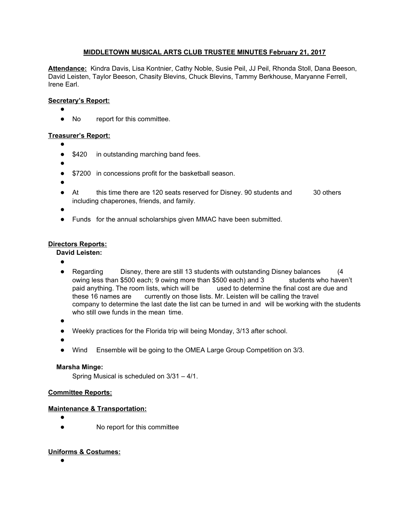# **MIDDLETOWN MUSICAL ARTS CLUB TRUSTEE MINUTES February 21, 2017**

**Attendance:** Kindra Davis, Lisa Kontnier, Cathy Noble, Susie Peil, JJ Peil, Rhonda Stoll, Dana Beeson, David Leisten, Taylor Beeson, Chasity Blevins, Chuck Blevins, Tammy Berkhouse, Maryanne Ferrell, Irene Earl.

### **Secretary's Report:**

- ●
- No report for this committee.

### **Treasurer's Report:**

- ●
- \$420 in outstanding marching band fees.
- ●
- \$7200 in concessions profit for the basketball season.
- ●
- At this time there are 120 seats reserved for Disney. 90 students and 30 others including chaperones, friends, and family.
- ●
- Funds for the annual scholarships given MMAC have been submitted.

## **Directors Reports:**

**David Leisten:**

- ●
- Regarding Disney, there are still 13 students with outstanding Disney balances (4 owing less than \$500 each; 9 owing more than \$500 each) and 3 students who haven't paid anything. The room lists, which will be used to determine the final cost are due and these 16 names are currently on those lists. Mr. Leisten will be calling the travel company to determine the last date the list can be turned in and will be working with the students who still owe funds in the mean time.
- ●
- Weekly practices for the Florida trip will being Monday, 3/13 after school.
- ●
- Wind Ensemble will be going to the OMEA Large Group Competition on 3/3.

### **Marsha Minge:**

Spring Musical is scheduled on 3/31 – 4/1.

### **Committee Reports:**

### **Maintenance & Transportation:**

- ●
- No report for this committee

# **Uniforms & Costumes:**

●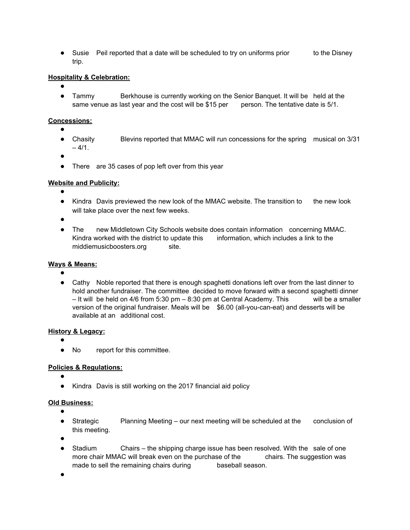• Susie Peil reported that a date will be scheduled to try on uniforms prior to the Disney trip.

# **Hospitality & Celebration:**

- ●
- Tammy Berkhouse is currently working on the Senior Banquet. It will be held at the same venue as last year and the cost will be \$15 per person. The tentative date is 5/1.

### **Concessions:**

- ●
- Chasity Blevins reported that MMAC will run concessions for the spring musical on 3/31  $-4/1.$
- ●
- There are 35 cases of pop left over from this year

### **Website and Publicity:**

- ●
- Kindra Davis previewed the new look of the MMAC website. The transition to the new look will take place over the next few weeks.
- ●
- The new Middletown City Schools website does contain information concerning MMAC. Kindra worked with the district to update this information, which includes a link to the middiemusicboosters.org site.

### **Ways & Means:**

- ●
- Cathy Noble reported that there is enough spaghetti donations left over from the last dinner to hold another fundraiser. The committee decided to move forward with a second spaghetti dinner  $-$  It will be held on 4/6 from 5:30 pm  $-$  8:30 pm at Central Academy. This will be a smaller version of the original fundraiser. Meals will be \$6.00 (all-you-can-eat) and desserts will be available at an additional cost.

### **History & Legacy:**

- ●
- No report for this committee.

### **Policies & Regulations:**

- ●
- Kindra Davis is still working on the 2017 financial aid policy

### **Old Business:**

- ●
- Strategic Planning Meeting our next meeting will be scheduled at the conclusion of this meeting.
- ●
- Stadium Chairs the shipping charge issue has been resolved. With the sale of one more chair MMAC will break even on the purchase of the chairs. The suggestion was made to sell the remaining chairs during baseball season.
- ●